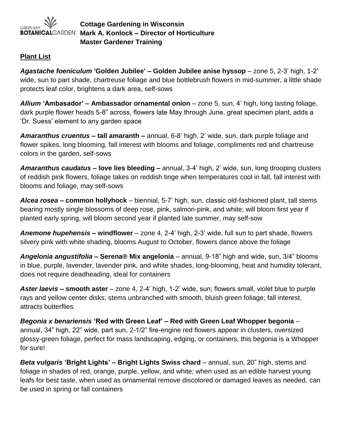

**Cottage Gardening in Wisconsin Mark A. Konlock – Director of Horticulture Master Gardener Training**

## **Plant List**

*Agastache foeniculum* **'Golden Jubilee' – Golden Jubilee anise hyssop** – zone 5, 2-3' high, 1-2' wide, sun to part shade, chartreuse foliage and blue bottlebrush flowers in mid-summer, a little shade protects leaf color, brightens a dark area, self-sows

*Allium* **'Ambasador'** *–* **Ambassador ornamental onion** – zone 5, sun, 4' high, long lasting foliage, dark purple flower heads 5-8" across, flowers late May through June, great specimen plant, adds a 'Dr. Suess' element to any garden space

*Amaranthus cruentus* **– tall amaranth –** annual, 6-8' high, 2' wide, sun, dark purple foliage and flower spikes, long blooming, fall interest with blooms and foliage, compliments red and chartreuse colors in the garden, self-sows

*Amaranthus caudatus* **– love lies bleeding –** annual, 3-4' high, 2' wide, sun, long drooping clusters of reddish pink flowers, foliage takes on reddish tinge when temperatures cool in fall, fall interest with blooms and foliage, may self-sows

*Alcea rosea –* **common hollyhock** – biennial, 5-7' high, sun, classic old-fashioned plant, tall stems bearing mostly single blossoms of deep rose, pink, salmon-pink, and white; will bloom first year if planted early spring, will bloom second year if planted late summer, may self-sow

*Anemone hupehensis –* **windflower** – zone 4, 2-4' high, 2-3' wide, full sun to part shade, flowers silvery pink with white shading, blooms August to October, flowers dance above the foliage

*Angelonia angustifolia* **– Serena® Mix angelonia** – annual, 9-18" high and wide, sun, 3/4" blooms in blue, purple, lavender, lavender pink, and white shades, long-blooming, heat and humidity tolerant, does not require deadheading, ideal for containers

*Aster laevis* **– smooth aster** – zone 4, 2-4' high, 1-2' wide, sun; flowers small, violet blue to purple rays and yellow center disks; stems unbranched with smooth, bluish green foliage; fall interest, attracts butterflies

*Begonia x benariensis* **'Red with Green Leaf' – Red with Green Leaf Whopper begonia** – annual, 34" high, 22" wide, part sun, 2-1/2" fire-engine red flowers appear in clusters, oversized glossy-green foliage, perfect for mass landscaping, edging, or containers, this begonia is a Whopper for sure!

*Beta vulgaris* **'Bright Lights' – Bright Lights Swiss chard** – annual, sun, 20" high, stems and foliage in shades of red, orange, purple, yellow, and white; when used as an edible harvest young leafs for best taste, when used as ornamental remove discolored or damaged leaves as needed, can be used in spring or fall containers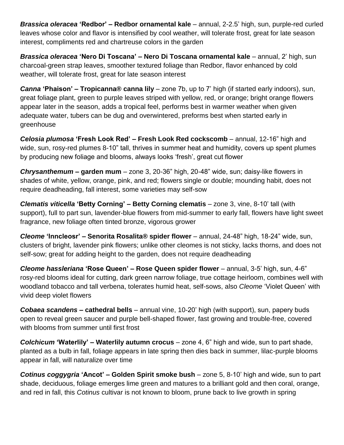*Brassica oleracea* **'Redbor'** *–* **Redbor ornamental kale** – annual, 2-2.5' high, sun, purple-red curled leaves whose color and flavor is intensified by cool weather, will tolerate frost, great for late season interest, compliments red and chartreuse colors in the garden

*Brassica oleracea* **'Nero Di Toscana'** *–* **Nero Di Toscana ornamental kale** – annual, 2' high, sun charcoal-green strap leaves, smoother textured foliage than Redbor, flavor enhanced by cold weather, will tolerate frost, great for late season interest

*Canna* **'Phaison' – Tropicanna® canna lily** – zone 7b, up to 7' high (if started early indoors), sun, great foliage plant, green to purple leaves striped with yellow, red, or orange; bright orange flowers appear later in the season, adds a tropical feel, performs best in warmer weather when given adequate water, tubers can be dug and overwintered, preforms best when started early in greenhouse

*Celosia plumosa* **'Fresh Look Red' – Fresh Look Red cockscomb** – annual, 12-16" high and wide, sun, rosy-red plumes 8-10" tall, thrives in summer heat and humidity, covers up spent plumes by producing new foliage and blooms, always looks 'fresh', great cut flower

*Chrysanthemum –* **garden mum** – zone 3, 20-36" high, 20-48" wide, sun; daisy-like flowers in shades of white, yellow, orange, pink, and red; flowers single or double; mounding habit, does not require deadheading, fall interest, some varieties may self-sow

*Clematis viticella* **'Betty Corning' – Betty Corning clematis** – zone 3, vine, 8-10' tall (with support), full to part sun, lavender-blue flowers from mid-summer to early fall, flowers have light sweet fragrance, new foliage often tinted bronze, vigorous grower

*Cleome* **'Inncleosr' – Senorita Rosalita® spider flower** – annual, 24-48" high, 18-24" wide, sun, clusters of bright, lavender pink flowers; unlike other cleomes is not sticky, lacks thorns, and does not self-sow; great for adding height to the garden, does not require deadheading

*Cleome hassleriana* **'Rose Queen' – Rose Queen spider flower** – annual, 3-5' high, sun, 4-6" rosy-red blooms ideal for cutting, dark green narrow foliage, true cottage heirloom, combines well with woodland tobacco and tall verbena, tolerates humid heat, self-sows, also *Cleome* 'Violet Queen' with vivid deep violet flowers

**Cobaea scandens – cathedral bells** – annual vine, 10-20' high (with support), sun, papery buds open to reveal green saucer and purple bell-shaped flower, fast growing and trouble-free, covered with blooms from summer until first frost

*Colchicum* **'Waterlily' – Waterlily autumn crocus** – zone 4, 6" high and wide, sun to part shade, planted as a bulb in fall, foliage appears in late spring then dies back in summer, lilac-purple blooms appear in fall, will naturalize over time

*Cotinus coggygria* **'Ancot'** *–* **Golden Spirit smoke bush** – zone 5, 8-10' high and wide, sun to part shade, deciduous, foliage emerges lime green and matures to a brilliant gold and then coral, orange, and red in fall, this *Cotinus* cultivar is not known to bloom, prune back to live growth in spring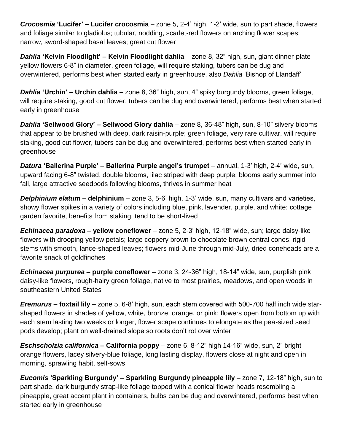*Crocosmia* **'Lucifer' – Lucifer crocosmia** – zone 5, 2-4' high, 1-2' wide, sun to part shade, flowers and foliage similar to gladiolus; tubular, nodding, scarlet-red flowers on arching flower scapes; narrow, sword-shaped basal leaves; great cut flower

*Dahlia* **'Kelvin Floodlight' – Kelvin Floodlight dahlia** – zone 8, 32" high, sun, giant dinner-plate yellow flowers 6-8" in diameter, green foliage, will require staking, tubers can be dug and overwintered, performs best when started early in greenhouse, also *Dahlia* 'Bishop of Llandaff'

*Dahlia* **'Urchin' – Urchin dahlia –** zone 8, 36" high, sun, 4" spiky burgundy blooms, green foliage, will require staking, good cut flower, tubers can be dug and overwintered, performs best when started early in greenhouse

*Dahlia* **'Sellwood Glory' – Sellwood Glory dahlia** – zone 8, 36-48" high, sun, 8-10" silvery blooms that appear to be brushed with deep, dark raisin-purple; green foliage, very rare cultivar, will require staking, good cut flower, tubers can be dug and overwintered, performs best when started early in greenhouse

*Datura* **'Ballerina Purple' – Ballerina Purple angel's trumpet** – annual, 1-3' high, 2-4' wide, sun, upward facing 6-8" twisted, double blooms, lilac striped with deep purple; blooms early summer into fall, large attractive seedpods following blooms, thrives in summer heat

*Delphinium elatum* **– delphinium** – zone 3, 5-6' high, 1-3' wide, sun, many cultivars and varieties, showy flower spikes in a variety of colors including blue, pink, lavender, purple, and white; cottage garden favorite, benefits from staking, tend to be short-lived

*Echinacea paradoxa* **– yellow coneflower** – zone 5, 2-3' high, 12-18" wide, sun; large daisy-like flowers with drooping yellow petals; large coppery brown to chocolate brown central cones; rigid stems with smooth, lance-shaped leaves; flowers mid-June through mid-July, dried coneheads are a favorite snack of goldfinches

*Echinacea purpurea* **– purple coneflower** – zone 3, 24-36" high, 18-14" wide, sun, purplish pink daisy-like flowers, rough-hairy green foliage, native to most prairies, meadows, and open woods in southeastern United States

*Eremurus –* **foxtail lily –** zone 5, 6-8' high, sun, each stem covered with 500-700 half inch wide starshaped flowers in shades of yellow, white, bronze, orange, or pink; flowers open from bottom up with each stem lasting two weeks or longer, flower scape continues to elongate as the pea-sized seed pods develop; plant on well-drained slope so roots don't rot over winter

*Eschscholzia californica* **– California poppy** – zone 6, 8-12" high 14-16" wide, sun, 2" bright orange flowers, lacey silvery-blue foliage, long lasting display, flowers close at night and open in morning, sprawling habit, self-sows

*Eucomis* **'Sparkling Burgundy' – Sparkling Burgundy pineapple lily** – zone 7, 12-18" high, sun to part shade, dark burgundy strap-like foliage topped with a conical flower heads resembling a pineapple, great accent plant in containers, bulbs can be dug and overwintered, performs best when started early in greenhouse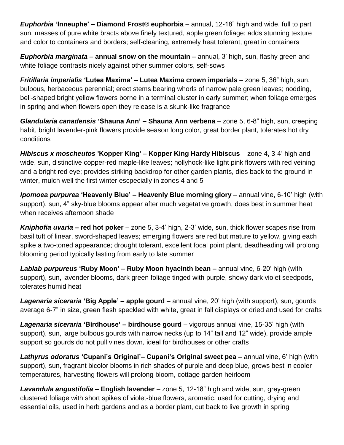*Euphorbia* **'Inneuphe' – Diamond Frost® euphorbia** – annual, 12-18" high and wide, full to part sun, masses of pure white bracts above finely textured, apple green foliage; adds stunning texture and color to containers and borders; self-cleaning, extremely heat tolerant, great in containers

*Euphorbia marginata* **– annual snow on the mountain –** annual, 3' high, sun, flashy green and white foliage contrasts nicely against other summer colors, self-sows

*Fritillaria imperialis* **'Lutea Maxima' – Lutea Maxima crown imperials** – zone 5, 36" high, sun, bulbous, herbaceous perennial; erect stems bearing whorls of narrow pale green leaves; nodding, bell-shaped bright yellow flowers borne in a terminal cluster in early summer; when foliage emerges in spring and when flowers open they release is a skunk-like fragrance

*Glandularia canadensis* **'Shauna Ann' – Shauna Ann verbena** – zone 5, 6-8" high, sun, creeping habit, bright lavender-pink flowers provide season long color, great border plant, tolerates hot dry conditions

*Hibiscus x moscheutos* **'Kopper King' – Kopper King Hardy Hibiscus** – zone 4, 3-4' high and wide, sun, distinctive copper-red maple-like leaves; hollyhock-like light pink flowers with red veining and a bright red eye; provides striking backdrop for other garden plants, dies back to the ground in winter, mulch well the first winter escpecially in zones 4 and 5

*Ipomoea purpurea* **'Heavenly Blue' – Heavenly Blue morning glory** – annual vine, 6-10' high (with support), sun, 4" sky-blue blooms appear after much vegetative growth, does best in summer heat when receives afternoon shade

*Kniphofia uvaria –* **red hot poker** – zone 5, 3-4' high, 2-3' wide, sun, thick flower scapes rise from basil tuft of linear, sword-shaped leaves; emerging flowers are red but mature to yellow, giving each spike a two-toned appearance; drought tolerant, excellent focal point plant, deadheading will prolong blooming period typically lasting from early to late summer

*Lablab purpureus* **'Ruby Moon'** *–* **Ruby Moon hyacinth bean** *–* annual vine, 6-20' high (with support), sun, lavender blooms, dark green foliage tinged with purple, showy dark violet seedpods, tolerates humid heat

*Lagenaria siceraria* **'Big Apple' – apple gourd** – annual vine, 20' high (with support), sun, gourds average 6-7" in size, green flesh speckled with white, great in fall displays or dried and used for crafts

*Lagenaria siceraria* **'Birdhouse' – birdhouse gourd** – vigorous annual vine, 15-35' high (with support), sun, large bulbous gourds with narrow necks (up to 14" tall and 12" wide), provide ample support so gourds do not pull vines down, ideal for birdhouses or other crafts

*Lathyrus odoratus* **'Cupani's Original'***–* **Cupani's Original sweet pea –** annual vine, 6' high (with support), sun, fragrant bicolor blooms in rich shades of purple and deep blue, grows best in cooler temperatures, harvesting flowers will prolong bloom, cottage garden heirloom

*Lavandula angustifolia* **– English lavender** – zone 5, 12-18" high and wide, sun, grey-green clustered foliage with short spikes of violet-blue flowers, aromatic, used for cutting, drying and essential oils, used in herb gardens and as a border plant, cut back to live growth in spring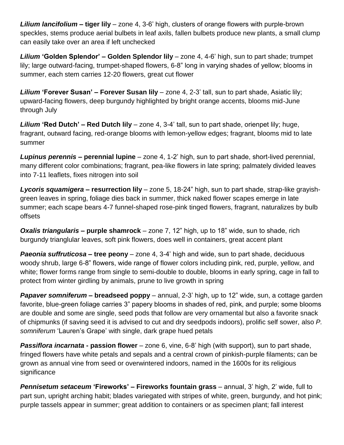*Lilium lancifolium* **– tiger lily** – zone 4, 3-6' high, clusters of orange flowers with purple-brown speckles, stems produce aerial bulbets in leaf axils, fallen bulbets produce new plants, a small clump can easily take over an area if left unchecked

*Lilium* **'Golden Splendor' – Golden Splendor lily** – zone 4, 4-6' high, sun to part shade; trumpet lily; large outward-facing, trumpet-shaped flowers, 6-8" long in varying shades of yellow; blooms in summer, each stem carries 12-20 flowers, great cut flower

*Lilium* **'Forever Susan' – Forever Susan lily** – zone 4, 2-3' tall, sun to part shade, Asiatic lily; upward-facing flowers, deep burgundy highlighted by bright orange accents, blooms mid-June through July

*Lilium* **'Red Dutch' – Red Dutch lily** – zone 4, 3-4' tall, sun to part shade, orienpet lily; huge, fragrant, outward facing, red-orange blooms with lemon-yellow edges; fragrant, blooms mid to late summer

*Lupinus perennis* **– perennial lupine** – zone 4, 1-2' high, sun to part shade, short-lived perennial, many different color combinations; fragrant, pea-like flowers in late spring; palmately divided leaves into 7-11 leaflets, fixes nitrogen into soil

*Lycoris squamigera* **– resurrection lily** – zone 5, 18-24" high, sun to part shade, strap-like grayishgreen leaves in spring, foliage dies back in summer, thick naked flower scapes emerge in late summer; each scape bears 4-7 funnel-shaped rose-pink tinged flowers, fragrant, naturalizes by bulb offsets

*Oxalis triangularis* **– purple shamrock** – zone 7, 12" high, up to 18" wide, sun to shade, rich burgundy trianglular leaves, soft pink flowers, does well in containers, great accent plant

*Paeonia suffruticosa* **– tree peony** – zone 4, 3-4' high and wide, sun to part shade, deciduous woody shrub, large 6-8" flowers, wide range of flower colors including pink, red, purple, yellow, and white; flower forms range from single to semi-double to double, blooms in early spring, cage in fall to protect from winter girdling by animals, prune to live growth in spring

*Papaver somniferum* **– breadseed poppy** – annual, 2-3' high, up to 12" wide, sun, a cottage garden favorite, blue-green foliage carries 3" papery blooms in shades of red, pink, and purple; some blooms are double and some are single, seed pods that follow are very ornamental but also a favorite snack of chipmunks (if saving seed it is advised to cut and dry seedpods indoors), prolific self sower, also *P. somniferum* 'Lauren's Grape' with single, dark grape hued petals

*Passiflora incarnata* **- passion flower** – zone 6, vine, 6-8' high (with support), sun to part shade, fringed flowers have white petals and sepals and a central crown of pinkish-purple filaments; can be grown as annual vine from seed or overwintered indoors, named in the 1600s for its religious significance

*Pennisetum setaceum* **'Fireworks' – Fireworks fountain grass** – annual, 3' high, 2' wide, full to part sun, upright arching habit; blades variegated with stripes of white, green, burgundy, and hot pink; purple tassels appear in summer; great addition to containers or as specimen plant; fall interest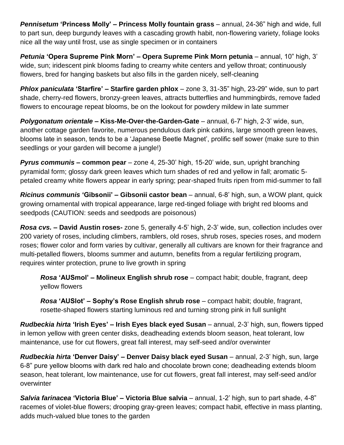*Pennisetum* **'Princess Molly' – Princess Molly fountain grass** – annual, 24-36" high and wide, full to part sun, deep burgundy leaves with a cascading growth habit, non-flowering variety, foliage looks nice all the way until frost, use as single specimen or in containers

*Petunia* **'Opera Supreme Pink Morn' – Opera Supreme Pink Morn petunia** – annual, 10" high, 3' wide, sun; iridescent pink blooms fading to creamy white centers and yellow throat; continuously flowers, bred for hanging baskets but also fills in the garden nicely, self-cleaning

*Phlox paniculata* **'Starfire' – Starfire garden phlox** – zone 3, 31-35" high, 23-29" wide, sun to part shade, cherry-red flowers, bronzy-green leaves, attracts butterflies and hummingbirds, remove faded flowers to encourage repeat blooms, be on the lookout for powdery mildew in late summer

*Polygonatum orientale* **– Kiss-Me-Over-the-Garden-Gate** – annual, 6-7' high, 2-3' wide, sun, another cottage garden favorite, numerous pendulous dark pink catkins, large smooth green leaves, blooms late in season, tends to be a 'Japanese Beetle Magnet', prolific self sower (make sure to thin seedlings or your garden will become a jungle!)

*Pyrus communis* **– common pear** – zone 4, 25-30' high, 15-20' wide, sun, upright branching pyramidal form; glossy dark green leaves which turn shades of red and yellow in fall; aromatic 5 petaled creamy white flowers appear in early spring; pear-shaped fruits ripen from mid-summer to fall

*Ricinus communis* **'Gibsonii' – Gibsonii castor bean** – annual, 6-8' high, sun, a WOW plant, quick growing ornamental with tropical appearance, large red-tinged foliage with bright red blooms and seedpods (CAUTION: seeds and seedpods are poisonous)

*Rosa cvs.* **– David Austin roses-** zone 5, generally 4-5' high, 2-3' wide, sun, collection includes over 200 variety of roses, including climbers, ramblers, old roses, shrub roses, species roses, and modern roses; flower color and form varies by cultivar, generally all cultivars are known for their fragrance and multi-petalled flowers, blooms summer and autumn, benefits from a regular fertilizing program, requires winter protection, prune to live growth in spring

*Rosa* **'AUSmol' – Molineux English shrub rose** – compact habit; double, fragrant, deep yellow flowers

*Rosa* **'AUSlot' – Sophy's Rose English shrub rose** – compact habit; double, fragrant, rosette-shaped flowers starting luminous red and turning strong pink in full sunlight

*Rudbeckia hirta* **'Irish Eyes' – Irish Eyes black eyed Susan** – annual, 2-3' high, sun, flowers tipped in lemon yellow with green center disks, deadheading extends bloom season, heat tolerant, low maintenance, use for cut flowers, great fall interest, may self-seed and/or overwinter

*Rudbeckia hirta* **'Denver Daisy' – Denver Daisy black eyed Susan** – annual, 2-3' high, sun, large 6-8" pure yellow blooms with dark red halo and chocolate brown cone; deadheading extends bloom season, heat tolerant, low maintenance, use for cut flowers, great fall interest, may self-seed and/or overwinter

*Salvia farinacea* **'Victoria Blue' – Victoria Blue salvia** – annual, 1-2' high, sun to part shade, 4-8" racemes of violet-blue flowers; drooping gray-green leaves; compact habit, effective in mass planting, adds much-valued blue tones to the garden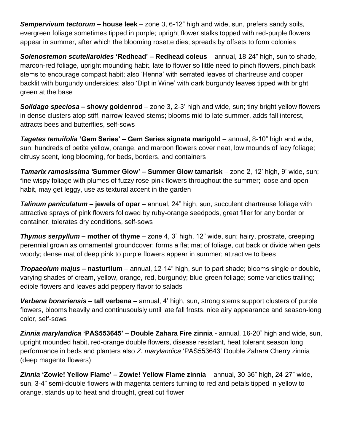*Sempervivum tectorum* **– house leek** – zone 3, 6-12" high and wide, sun, prefers sandy soils, evergreen foliage sometimes tipped in purple; upright flower stalks topped with red-purple flowers appear in summer, after which the blooming rosette dies; spreads by offsets to form colonies

*Solenostemon scutellaroides* **'Redhead' – Redhead coleus** – annual, 18-24" high, sun to shade, maroon-red foliage, upright mounding habit, late to flower so little need to pinch flowers, pinch back stems to encourage compact habit; also 'Henna' with serrated leaves of chartreuse and copper backlit with burgundy undersides; also 'Dipt in Wine' with dark burgundy leaves tipped with bright green at the base

*Solidago speciosa* **– showy goldenrod** – zone 3, 2-3' high and wide, sun; tiny bright yellow flowers in dense clusters atop stiff, narrow-leaved stems; blooms mid to late summer, adds fall interest, attracts bees and butterflies, self-sows

*Tagetes tenuifolia* **'Gem Series' – Gem Series signata marigold** – annual, 8-10" high and wide, sun; hundreds of petite yellow, orange, and maroon flowers cover neat, low mounds of lacy foliage; citrusy scent, long blooming, for beds, borders, and containers

*Tamarix ramosissima '***Summer Glow' – Summer Glow tamarisk** – zone 2, 12' high, 9' wide, sun; fine wispy foliage with plumes of fuzzy rose-pink flowers throughout the summer; loose and open habit, may get leggy, use as textural accent in the garden

**Talinum paniculatum** – **jewels of opar** – annual, 24" high, sun, succulent chartreuse foliage with attractive sprays of pink flowers followed by ruby-orange seedpods, great filler for any border or container, tolerates dry conditions, self-sows

*Thymus serpyllum* **– mother of thyme** – zone 4, 3" high, 12" wide, sun; hairy, prostrate, creeping perennial grown as ornamental groundcover; forms a flat mat of foliage, cut back or divide when gets woody; dense mat of deep pink to purple flowers appear in summer; attractive to bees

*Tropaeolum majus* **– nasturtium** – annual, 12-14" high, sun to part shade; blooms single or double, varying shades of cream, yellow, orange, red, burgundy; blue-green foliage; some varieties trailing; edible flowers and leaves add peppery flavor to salads

*Verbena bonariensis –* **tall verbena –** annual, 4' high, sun, strong stems support clusters of purple flowers, blooms heavily and continusoulsly until late fall frosts, nice airy appearance and season-long color, self-sows

*Zinnia marylandica* **'PAS553645' – Double Zahara Fire zinnia -** annual, 16-20" high and wide, sun, upright mounded habit, red-orange double flowers, disease resistant, heat tolerant season long performance in beds and planters also *Z. marylandica* 'PAS553643' Double Zahara Cherry zinnia (deep magenta flowers)

*Zinnia* **'Zowie! Yellow Flame' – Zowie! Yellow Flame zinnia** – annual, 30-36" high, 24-27" wide, sun, 3-4" semi-double flowers with magenta centers turning to red and petals tipped in yellow to orange, stands up to heat and drought, great cut flower